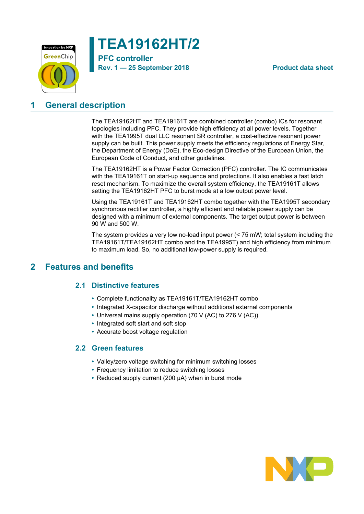

**TEA19162HT/2**

# **PFC controller Rev. 1 — 25 September 2018 Product data sheet**

# <span id="page-0-0"></span>**1 General description**

The TEA19162HT and TEA19161T are combined controller (combo) ICs for resonant topologies including PFC. They provide high efficiency at all power levels. Together with the TEA1995T dual LLC resonant SR controller, a cost-effective resonant power supply can be built. This power supply meets the efficiency regulations of Energy Star, the Department of Energy (DoE), the Eco-design Directive of the European Union, the European Code of Conduct, and other guidelines.

The TEA19162HT is a Power Factor Correction (PFC) controller. The IC communicates with the TEA19161T on start-up sequence and protections. It also enables a fast latch reset mechanism. To maximize the overall system efficiency, the TEA19161T allows setting the TEA19162HT PFC to burst mode at a low output power level.

Using the TEA19161T and TEA19162HT combo together with the TEA1995T secondary synchronous rectifier controller, a highly efficient and reliable power supply can be designed with a minimum of external components. The target output power is between 90 W and 500 W.

The system provides a very low no-load input power (< 75 mW; total system including the TEA19161T/TEA19162HT combo and the TEA1995T) and high efficiency from minimum to maximum load. So, no additional low-power supply is required.

# <span id="page-0-1"></span>**2 Features and benefits**

## **2.1 Distinctive features**

- <span id="page-0-2"></span>**•** Complete functionality as TEA19161T/TEA19162HT combo
- **•** Integrated X-capacitor discharge without additional external components
- **•** Universal mains supply operation (70 V (AC) to 276 V (AC))
- **•** Integrated soft start and soft stop
- <span id="page-0-3"></span>**•** Accurate boost voltage regulation

### **2.2 Green features**

- **•** Valley/zero voltage switching for minimum switching losses
- **•** Frequency limitation to reduce switching losses
- **•** Reduced supply current (200 μA) when in burst mode

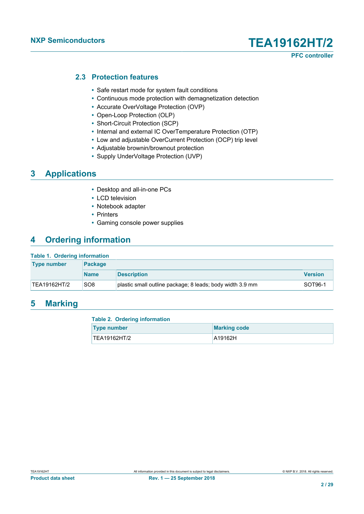**PFC controller**

### **2.3 Protection features**

- <span id="page-1-0"></span>**•** Safe restart mode for system fault conditions
- **•** Continuous mode protection with demagnetization detection
- **•** Accurate OverVoltage Protection (OVP)
- **•** Open-Loop Protection (OLP)
- **•** Short-Circuit Protection (SCP)
- **•** Internal and external IC OverTemperature Protection (OTP)
- **•** Low and adjustable OverCurrent Protection (OCP) trip level
- **•** Adjustable brownin/brownout protection
- **•** Supply UnderVoltage Protection (UVP)

# <span id="page-1-1"></span>**3 Applications**

- **•** Desktop and all-in-one PCs
- **•** LCD television
- **•** Notebook adapter
- **•** Printers
- **•** Gaming console power supplies

# <span id="page-1-2"></span>**4 Ordering information**

#### **Table 1. Ordering information**

| <b>Type number</b> | <b>Package</b>  |                                                           |                |
|--------------------|-----------------|-----------------------------------------------------------|----------------|
|                    | <b>Name</b>     | <b>Description</b>                                        | <b>Version</b> |
| TEA19162HT/2       | SO <sub>8</sub> | plastic small outline package; 8 leads; body width 3.9 mm | <b>SOT96-1</b> |

### <span id="page-1-3"></span>**5 Marking**

| <b>Table 2. Ordering information</b> |                     |  |  |  |  |  |
|--------------------------------------|---------------------|--|--|--|--|--|
| <b>Type number</b>                   | <b>Marking code</b> |  |  |  |  |  |
| TEA19162HT/2                         | A19162H             |  |  |  |  |  |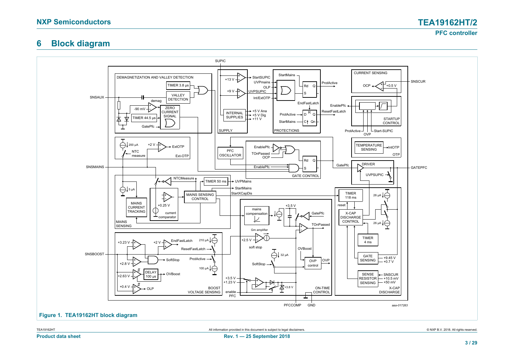# **6 Block diagram**

<span id="page-2-1"></span>

<span id="page-2-0"></span>TEA19162HT 
SALL TREATHER ALL INFORMATION CONTACT ALL INFORMATION PROVIded in this document is subject to legal disclaimers.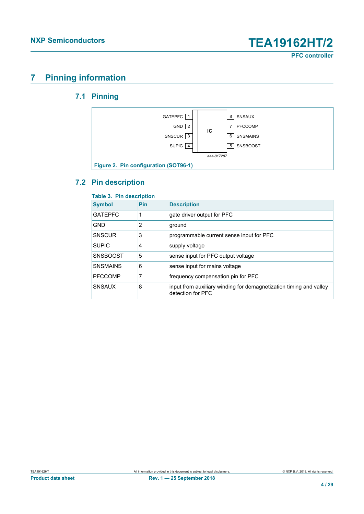# <span id="page-3-0"></span>**7 Pinning information**

# **7.1 Pinning**

<span id="page-3-1"></span>

## <span id="page-3-2"></span>**7.2 Pin description**

| <b>I AVIC J. FIII UCSUIPUUII</b> |     |                                                                                         |
|----------------------------------|-----|-----------------------------------------------------------------------------------------|
| <b>Symbol</b>                    | Pin | <b>Description</b>                                                                      |
| <b>GATEPFC</b>                   | 1   | gate driver output for PFC                                                              |
| <b>GND</b>                       | 2   | ground                                                                                  |
| <b>SNSCUR</b>                    | 3   | programmable current sense input for PFC                                                |
| <b>SUPIC</b>                     | 4   | supply voltage                                                                          |
| <b>SNSBOOST</b>                  | 5   | sense input for PFC output voltage                                                      |
| <b>SNSMAINS</b>                  | 6   | sense input for mains voltage                                                           |
| <b>PFCCOMP</b>                   | 7   | frequency compensation pin for PFC                                                      |
| <b>SNSAUX</b>                    | 8   | input from auxiliary winding for demagnetization timing and valley<br>detection for PFC |

**Table 3. Pin description**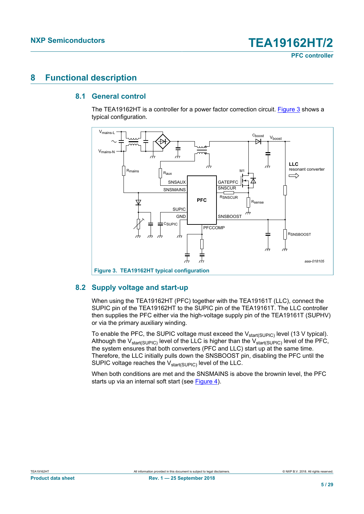# <span id="page-4-2"></span>**8 Functional description**

#### **8.1 General control**

<span id="page-4-3"></span>The TEA19162HT is a controller for a power factor correction circuit. [Figure 3](#page-4-0) shows a typical configuration.

<span id="page-4-0"></span>

#### **8.2 Supply voltage and start-up**

<span id="page-4-1"></span>When using the TEA19162HT (PFC) together with the TEA19161T (LLC), connect the SUPIC pin of the TEA19162HT to the SUPIC pin of the TEA19161T. The LLC controller then supplies the PFC either via the high-voltage supply pin of the TEA19161T (SUPHV) or via the primary auxiliary winding.

To enable the PFC, the SUPIC voltage must exceed the  $V_{start(SUPIC)}$  level (13 V typical). Although the  $V_{\text{start(SUPIC)}}$  level of the LLC is higher than the  $V_{\text{start(SUPIC)}}$  level of the PFC, the system ensures that both converters (PFC and LLC) start up at the same time. Therefore, the LLC initially pulls down the SNSBOOST pin, disabling the PFC until the SUPIC voltage reaches the V<sub>start(SUPIC)</sub> level of the LLC.

When both conditions are met and the SNSMAINS is above the brownin level, the PFC starts up via an internal soft start (see [Figure 4](#page-5-0)).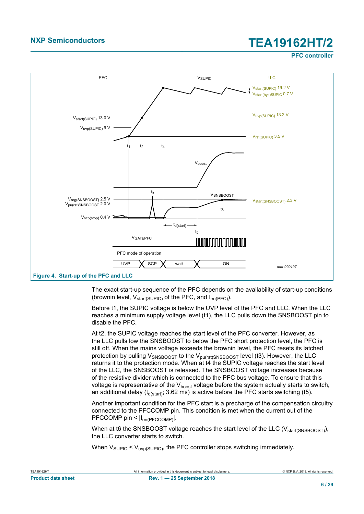**PFC controller**

<span id="page-5-0"></span>

The exact start-up sequence of the PFC depends on the availability of start-up conditions (brownin level,  $V_{start(SUPIC)}$  of the PFC, and  $I_{en(PFC)}$ ).

Before t1, the SUPIC voltage is below the UVP level of the PFC and LLC. When the LLC reaches a minimum supply voltage level (t1), the LLC pulls down the SNSBOOST pin to disable the PFC.

At t2, the SUPIC voltage reaches the start level of the PFC converter. However, as the LLC pulls low the SNSBOOST to below the PFC short protection level, the PFC is still off. When the mains voltage exceeds the brownin level, the PFC resets its latched protection by pulling  $V_{SNSBOOST}$  to the  $V_{pufst)SNSBOOST}$  level (t3). However, the LLC returns it to the protection mode. When at t4 the SUPIC voltage reaches the start level of the LLC, the SNSBOOST is released. The SNSBOOST voltage increases because of the resistive divider which is connected to the PFC bus voltage. To ensure that this voltage is representative of the  $V_{\text{boost}}$  voltage before the system actually starts to switch, an additional delay ( $t_{\text{d(stat)}}$ ; 3.62 ms) is active before the PFC starts switching (t5).

Another important condition for the PFC start is a precharge of the compensation circuitry connected to the PFCCOMP pin. This condition is met when the current out of the PFCCOMP pin <  $|I_{en(PFCCOMP)}|$ .

When at t6 the SNSBOOST voltage reaches the start level of the LLC ( $V_{\text{stat(SNSBOOST)}}$ ), the LLC converter starts to switch.

When  $V_{\text{SUPIC}}$  <  $V_{\text{LWD}}$ (SUPIC), the PFC controller stops switching immediately.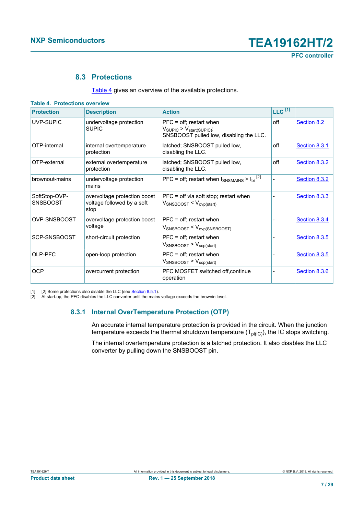#### <span id="page-6-3"></span><span id="page-6-1"></span>**8.3 Protections**

<span id="page-6-4"></span><span id="page-6-0"></span>[Table 4](#page-6-0) gives an overview of the available protections.

| <b>Table 4. Protections overview</b> |                                                                    |                                                                                                                           |                      |                      |
|--------------------------------------|--------------------------------------------------------------------|---------------------------------------------------------------------------------------------------------------------------|----------------------|----------------------|
| <b>Protection</b>                    | <b>Description</b>                                                 | <b>Action</b>                                                                                                             | $LLC$ <sup>[1]</sup> |                      |
| UVP-SUPIC                            | undervoltage protection<br><b>SUPIC</b>                            | $PFC = off$ ; restart when<br>$V_{\text{SUPIC}}$ > $V_{\text{start(SUPIC)}}$ ;<br>SNSBOOST pulled low, disabling the LLC. | off                  | Section 8.2          |
| OTP-internal                         | internal overtemperature<br>protection                             | latched; SNSBOOST pulled low,<br>disabling the LLC.                                                                       | off                  | Section 8.3.1        |
| OTP-external                         | external overtemperature<br>protection                             | latched; SNSBOOST pulled low,<br>disabling the LLC.                                                                       | off                  | Section 8.3.2        |
| brownout-mains                       | undervoltage protection<br>mains                                   | PFC = off; restart when $I_{SNSMAINS} > I_{bi}^{[2]}$                                                                     |                      | Section 8.3.2        |
| SoftStop-OVP-<br><b>SNSBOOST</b>     | overvoltage protection boost<br>voltage followed by a soft<br>stop | $PFC = off via soft stop; restart when$<br>$V_{SNSBOOST} < V_{ovp(start)}$                                                |                      | Section 8.3.3        |
| OVP-SNSBOOST                         | overvoltage protection boost<br>voltage                            | $PFC = off$ ; restart when<br>$V_{\text{SNSBOOST}} < V_{\text{ovp(SNSBOOST)}}$                                            |                      | <b>Section 8.3.4</b> |
| SCP-SNSBOOST                         | short-circuit protection                                           | $PFC = off$ ; restart when<br>$V_{\text{SNSBOOST}}$ > $V_{\text{scp}(\text{start})}$                                      |                      | <b>Section 8.3.5</b> |
| OLP-PFC                              | open-loop protection                                               | $PFC = off$ ; restart when<br>$V_{\text{SNSBOOST}}$ > $V_{\text{scp}(\text{start})}$                                      |                      | Section 8.3.5        |
| <b>OCP</b>                           | overcurrent protection                                             | PFC MOSFET switched off, continue<br>operation                                                                            |                      | <b>Section 8.3.6</b> |

[1] [2] Some protections also disable the LLC (see <u>Section 8.5.1</u>).

[2] At start-up, the PFC disables the LLC converter until the mains voltage exceeds the brownin level.

#### **8.3.1 Internal OverTemperature Protection (OTP)**

<span id="page-6-2"></span>An accurate internal temperature protection is provided in the circuit. When the junction temperature exceeds the thermal shutdown temperature  $(T_{pl(IC)})$ , the IC stops switching.

The internal overtemperature protection is a latched protection. It also disables the LLC converter by pulling down the SNSBOOST pin.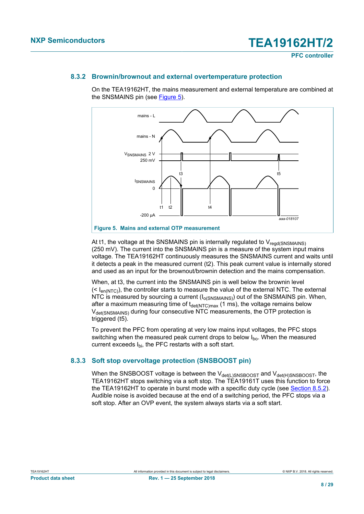#### **8.3.2 Brownin/brownout and external overtemperature protection**

<span id="page-7-0"></span>On the TEA19162HT, the mains measurement and external temperature are combined at the SNSMAINS pin (see [Figure 5\)](#page-7-2).

<span id="page-7-2"></span>

At t1, the voltage at the SNSMAINS pin is internally regulated to  $V_{\text{read(SNSMAINS)}}$ (250 mV). The current into the SNSMAINS pin is a measure of the system input mains voltage. The TEA19162HT continuously measures the SNSMAINS current and waits until it detects a peak in the measured current (t2). This peak current value is internally stored and used as an input for the brownout/brownin detection and the mains compensation.

When, at t3, the current into the SNSMAINS pin is well below the brownin level  $(< l_{en(NTC)}$ ), the controller starts to measure the value of the external NTC. The external NTC is measured by sourcing a current  $(I_{O(SNSMAINS)})$  out of the SNSMAINS pin. When, after a maximum measuring time of  $t_{\text{det}(NTC)max}$  (1 ms), the voltage remains below  $V_{\text{det(SNSMAINS)}}$  during four consecutive NTC measurements, the OTP protection is triggered (t5).

To prevent the PFC from operating at very low mains input voltages, the PFC stops switching when the measured peak current drops to below  $I_{\text{bo}}$ . When the measured current exceeds Ibi, the PFC restarts with a soft start.

#### **8.3.3 Soft stop overvoltage protection (SNSBOOST pin)**

<span id="page-7-1"></span>When the SNSBOOST voltage is between the  $V_{\text{det}(L)SNSBOOST}$  and  $V_{\text{det}(H)SNSBOOST}$ , the TEA19162HT stops switching via a soft stop. The TEA19161T uses this function to force the TEA19162HT to operate in burst mode with a specific duty cycle (see [Section 8.5.2\)](#page-14-1). Audible noise is avoided because at the end of a switching period, the PFC stops via a soft stop. After an OVP event, the system always starts via a soft start.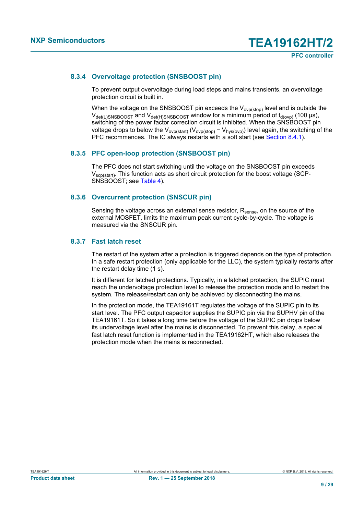#### **8.3.4 Overvoltage protection (SNSBOOST pin)**

<span id="page-8-0"></span>To prevent output overvoltage during load steps and mains transients, an overvoltage protection circuit is built in.

When the voltage on the SNSBOOST pin exceeds the  $V_{ovp(\text{stop})}$  level and is outside the  $V_{\text{det(L)SNSBOOST}}$  and  $V_{\text{det(H)SNSBOOST}}$  window for a minimum period of  $t_{\text{d(ovp)}}$  (100 µs), switching of the power factor correction circuit is inhibited. When the SNSBOOST pin voltage drops to below the V<sub>ovp(start)</sub> (V<sub>ovp(stop)</sub> - V<sub>hys(ovp)</sub>) level again, the switching of the PFC recommences. The IC always restarts with a soft start (see [Section 8.4.1\)](#page-10-0).

#### **8.3.5 PFC open-loop protection (SNSBOOST pin)**

<span id="page-8-1"></span>The PFC does not start switching until the voltage on the SNSBOOST pin exceeds V<sub>scp(start)</sub>. This function acts as short circuit protection for the boost voltage (SCP-SNSBOOST; see [Table 4](#page-6-0)).

#### **8.3.6 Overcurrent protection (SNSCUR pin)**

<span id="page-8-2"></span>Sensing the voltage across an external sense resistor,  $R_{\text{sense}}$ , on the source of the external MOSFET, limits the maximum peak current cycle-by-cycle. The voltage is measured via the SNSCUR pin.

#### **8.3.7 Fast latch reset**

<span id="page-8-3"></span>The restart of the system after a protection is triggered depends on the type of protection. In a safe restart protection (only applicable for the LLC), the system typically restarts after the restart delay time (1 s).

It is different for latched protections. Typically, in a latched protection, the SUPIC must reach the undervoltage protection level to release the protection mode and to restart the system. The release/restart can only be achieved by disconnecting the mains.

In the protection mode, the TEA19161T regulates the voltage of the SUPIC pin to its start level. The PFC output capacitor supplies the SUPIC pin via the SUPHV pin of the TEA19161T. So it takes a long time before the voltage of the SUPIC pin drops below its undervoltage level after the mains is disconnected. To prevent this delay, a special fast latch reset function is implemented in the TEA19162HT, which also releases the protection mode when the mains is reconnected.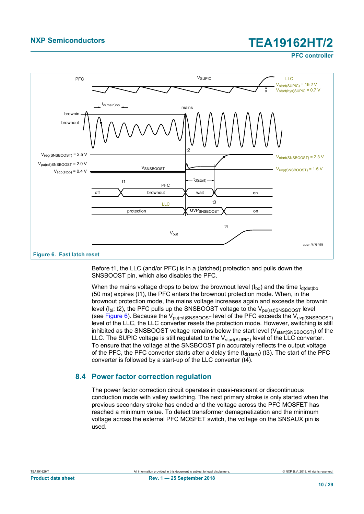**PFC controller**

<span id="page-9-0"></span>

Before t1, the LLC (and/or PFC) is in a (latched) protection and pulls down the SNSBOOST pin, which also disables the PFC.

When the mains voltage drops to below the brownout level  $(I_{bo})$  and the time  $t_{d(det)bo}$ (50 ms) expires (t1), the PFC enters the brownout protection mode. When, in the brownout protection mode, the mains voltage increases again and exceeds the brownin level ( $I_{hi}$ ; t2), the PFC pulls up the SNSBOOST voltage to the  $V_{pu(rst)SNSBOOST}$  level (see  $Figure 6$ ). Because the  $V_{\text{pu(rst)SNSBOOST}}$  level of the PFC exceeds the  $V_{\text{uvp(SNSBOOST)}}$ level of the LLC, the LLC converter resets the protection mode. However, switching is still inhibited as the SNSBOOST voltage remains below the start level  $(V_{\text{start(SNSBOOST)}})$  of the LLC. The SUPIC voltage is still regulated to the  $V_{start(SUP|C)}$  level of the LLC converter. To ensure that the voltage at the SNSBOOST pin accurately reflects the output voltage of the PFC, the PFC converter starts after a delay time  $(t_{d(stat)})$  (t3). The start of the PFC converter is followed by a start-up of the LLC converter (t4).

#### <span id="page-9-1"></span>**8.4 Power factor correction regulation**

The power factor correction circuit operates in quasi-resonant or discontinuous conduction mode with valley switching. The next primary stroke is only started when the previous secondary stroke has ended and the voltage across the PFC MOSFET has reached a minimum value. To detect transformer demagnetization and the minimum voltage across the external PFC MOSFET switch, the voltage on the SNSAUX pin is used.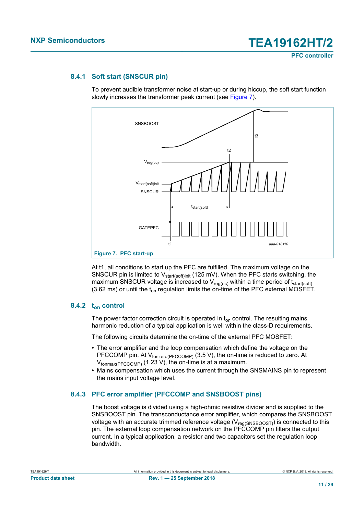#### **8.4.1 Soft start (SNSCUR pin)**

<span id="page-10-0"></span>To prevent audible transformer noise at start-up or during hiccup, the soft start function slowly increases the transformer peak current (see [Figure 7](#page-10-1)).

<span id="page-10-1"></span>

At t1, all conditions to start up the PFC are fulfilled. The maximum voltage on the SNSCUR pin is limited to  $V_{\text{start}(soft)}$  (125 mV). When the PFC starts switching, the maximum SNSCUR voltage is increased to  $V_{reg(oc)}$  within a time period of  $t_{start(soft)}$ (3.62 ms) or until the  $t_{on}$  regulation limits the on-time of the PFC external MOSFET.

#### **8.4.2 ton control**

<span id="page-10-3"></span>The power factor correction circuit is operated in  $t_{on}$  control. The resulting mains harmonic reduction of a typical application is well within the class-D requirements.

The following circuits determine the on-time of the external PFC MOSFET:

- **•** The error amplifier and the loop compensation which define the voltage on the PFCCOMP pin. At V<sub>tonzero(PFCCOMP)</sub> (3.5 V), the on-time is reduced to zero. At  $V_{\text{tonmax(PFCCOMP)}}$  (1.23 V), the on-time is at a maximum.
- **•** Mains compensation which uses the current through the SNSMAINS pin to represent the mains input voltage level.

#### **8.4.3 PFC error amplifier (PFCCOMP and SNSBOOST pins)**

<span id="page-10-2"></span>The boost voltage is divided using a high-ohmic resistive divider and is supplied to the SNSBOOST pin. The transconductance error amplifier, which compares the SNSBOOST voltage with an accurate trimmed reference voltage (V $_{\rm reg(SNSBOOST)}$ ) is connected to this pin. The external loop compensation network on the PFCCOMP pin filters the output current. In a typical application, a resistor and two capacitors set the regulation loop bandwidth.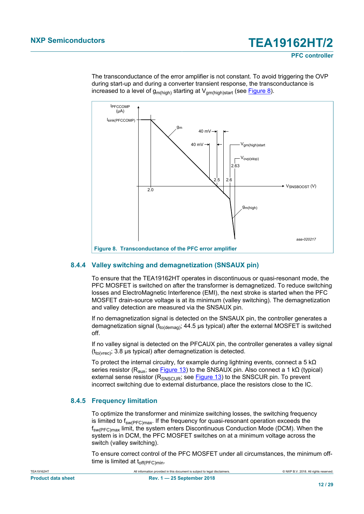The transconductance of the error amplifier is not constant. To avoid triggering the OVP during start-up and during a converter transient response, the transconductance is increased to a level of  $g_{m(high)}$  starting at  $V_{am(high)stat}$  (see [Figure 8\)](#page-11-0).

<span id="page-11-0"></span>

#### **8.4.4 Valley switching and demagnetization (SNSAUX pin)**

<span id="page-11-1"></span>To ensure that the TEA19162HT operates in discontinuous or quasi-resonant mode, the PFC MOSFET is switched on after the transformer is demagnetized. To reduce switching losses and ElectroMagnetic Interference (EMI), the next stroke is started when the PFC MOSFET drain-source voltage is at its minimum (valley switching). The demagnetization and valley detection are measured via the SNSAUX pin.

If no demagnetization signal is detected on the SNSAUX pin, the controller generates a demagnetization signal ( $t_{\text{to(demaq)}}$ ; 44.5 µs typical) after the external MOSFET is switched off.

If no valley signal is detected on the PFCAUX pin, the controller generates a valley signal  $(t_{\text{to(vrec})}; 3.8 \,\mu s \text{ typical})$  after demagnetization is detected.

To protect the internal circuitry, for example during lightning events, connect a 5 kΩ series resistor ( $R_{\text{aux}}$ ; see [Figure 13](#page-23-0)) to the SNSAUX pin. Also connect a 1 kΩ (typical) external sense resistor ( $R_{SNSCUR}$ ; see **[Figure 13](#page-23-0)**) to the SNSCUR pin. To prevent incorrect switching due to external disturbance, place the resistors close to the IC.

#### **8.4.5 Frequency limitation**

<span id="page-11-2"></span>To optimize the transformer and minimize switching losses, the switching frequency is limited to  $f_{sw(PEC)max}$ . If the frequency for quasi-resonant operation exceeds the fsw(PFC)max limit, the system enters Discontinuous Conduction Mode (DCM). When the system is in DCM, the PFC MOSFET switches on at a minimum voltage across the switch (valley switching).

To ensure correct control of the PFC MOSFET under all circumstances, the minimum offtime is limited at  $t_{off(PFC)min}$ .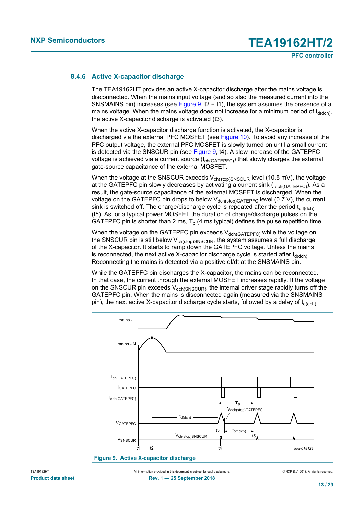#### **8.4.6 Active X-capacitor discharge**

<span id="page-12-1"></span>The TEA19162HT provides an active X-capacitor discharge after the mains voltage is disconnected. When the mains input voltage (and so also the measured current into the SNSMAINS pin) increases (see [Figure 9,](#page-12-0) t2 – t1), the system assumes the presence of a mains voltage. When the mains voltage does not increase for a minimum period of  $t_{d(dch)}$ the active X-capacitor discharge is activated (t3).

When the active X-capacitor discharge function is activated, the X-capacitor is discharged via the external PFC MOSFET (see [Figure 10\)](#page-13-0). To avoid any increase of the PFC output voltage, the external PFC MOSFET is slowly turned on until a small current is detected via the SNSCUR pin (see [Figure 9](#page-12-0), t4). A slow increase of the GATEPFC voltage is achieved via a current source  $(I_{ch(GATEPEC)})$  that slowly charges the external gate-source capacitance of the external MOSFET.

When the voltage at the SNSCUR exceeds  $V_{ch(stop)SNSCUR}$  level (10.5 mV), the voltage at the GATEPFC pin slowly decreases by activating a current sink  $(I_{dch(GATEPFC)})$ . As a result, the gate-source capacitance of the external MOSFET is discharged. When the voltage on the GATEPFC pin drops to below  $V_{\text{dch}(stop)GATEPPC}$  level (0.7 V), the current sink is switched off. The charge/discharge cycle is repeated after the period  $t_{off(dch)}$ (t5). As for a typical power MOSFET the duration of charge/discharge pulses on the GATEPFC pin is shorter than 2 ms,  $T_p$  (4 ms typical) defines the pulse repetition time.

When the voltage on the GATEPFC pin exceeds  $V_{deh(GATFPEC)}$  while the voltage on the SNSCUR pin is still below  $V_{ch(stop)SNSCUR}$ , the system assumes a full discharge of the X-capacitor. It starts to ramp down the GATEPFC voltage. Unless the mains is reconnected, the next active X-capacitor discharge cycle is started after  $t_{\rm d(dch)}$ . Reconnecting the mains is detected via a positive dI/dt at the SNSMAINS pin.

<span id="page-12-0"></span>While the GATEPFC pin discharges the X-capacitor, the mains can be reconnected. In that case, the current through the external MOSFET increases rapidly. If the voltage on the SNSCUR pin exceeds  $V_{dch(SNSC1R)}$ , the internal driver stage rapidly turns off the GATEPFC pin. When the mains is disconnected again (measured via the SNSMAINS pin), the next active X-capacitor discharge cycle starts, followed by a delay of  $t_{d(dch)}$ .

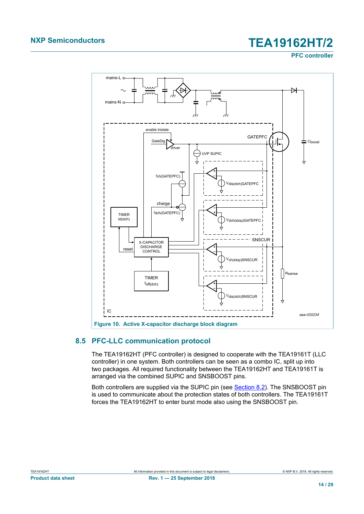**PFC controller**

<span id="page-13-0"></span>

## **8.5 PFC-LLC communication protocol**

<span id="page-13-1"></span>The TEA19162HT (PFC controller) is designed to cooperate with the TEA19161T (LLC controller) in one system. Both controllers can be seen as a combo IC, split up into two packages. All required functionality between the TEA19162HT and TEA19161T is arranged via the combined SUPIC and SNSBOOST pins.

Both controllers are supplied via the SUPIC pin (see [Section 8.2](#page-4-1)). The SNSBOOST pin is used to communicate about the protection states of both controllers. The TEA19161T forces the TEA19162HT to enter burst mode also using the SNSBOOST pin.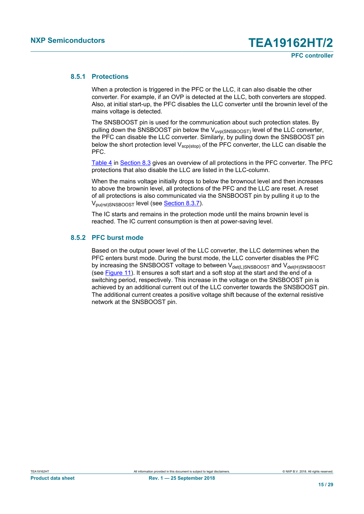#### **8.5.1 Protections**

<span id="page-14-0"></span>When a protection is triggered in the PFC or the LLC, it can also disable the other converter. For example, if an OVP is detected at the LLC, both converters are stopped. Also, at initial start-up, the PFC disables the LLC converter until the brownin level of the mains voltage is detected.

The SNSBOOST pin is used for the communication about such protection states. By pulling down the SNSBOOST pin below the  $V_{\text{uvo(SNSBOOST)}}$  level of the LLC converter, the PFC can disable the LLC converter. Similarly, by pulling down the SNSBOOST pin below the short protection level  $V_{\text{scp}(stop)}$  of the PFC converter, the LLC can disable the PFC.

[Table 4](#page-6-0) in [Section 8.3](#page-6-4) gives an overview of all protections in the PFC converter. The PFC protections that also disable the LLC are listed in the LLC-column.

When the mains voltage initially drops to below the brownout level and then increases to above the brownin level, all protections of the PFC and the LLC are reset. A reset of all protections is also communicated via the SNSBOOST pin by pulling it up to the V<sub>pu(rst)SNSBOOST</sub> level (see **Section 8.3.7**).

The IC starts and remains in the protection mode until the mains brownin level is reached. The IC current consumption is then at power-saving level.

### **8.5.2 PFC burst mode**

<span id="page-14-1"></span>Based on the output power level of the LLC converter, the LLC determines when the PFC enters burst mode. During the burst mode, the LLC converter disables the PFC by increasing the SNSBOOST voltage to between  $V_{\text{det(L)SNSBOOST}}$  and  $V_{\text{det(H)SNSBOOST}}$ (see [Figure 11](#page-15-0)). It ensures a soft start and a soft stop at the start and the end of a switching period, respectively. This increase in the voltage on the SNSBOOST pin is achieved by an additional current out of the LLC converter towards the SNSBOOST pin. The additional current creates a positive voltage shift because of the external resistive network at the SNSBOOST pin.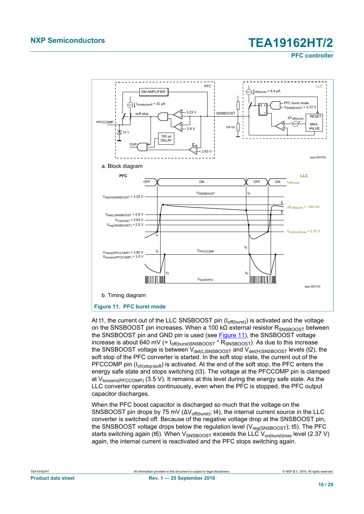**PFC controller**



<span id="page-15-0"></span>At t1, the current out of the LLC SNSBOOST pin  $(I_{off (burst)})$  is activated and the voltage on the SNSBOOST pin increases. When a 100 kΩ external resistor R<sub>SNSBOOST</sub> between the SNSBOOST pin and GND pin is used (see [Figure 11](#page-15-0)), the SNSBOOST voltage increase is about 640 mV (=  $I_{off(burst)SNSBOOST}$ <sup>\*</sup>  $R_{SNSBOOST}$ ). As due to this increase the SNSBOOST voltage is between  $V_{\text{det}(L)SNSBOOST}$  and  $V_{\text{det}(H)SNSBOOST}$  levels (t2), the soft stop of the PFC converter is started. In the soft stop state, the current out of the PFCCOMP pin  $(I_{\text{ch}(stop)soft})$  is activated. At the end of the soft stop, the PFC enters the energy safe state and stops switching (t3). The voltage at the PFCCOMP pin is clamped at  $V_{\text{tonzero/PECCOMP}}$  (3.5 V). It remains at this level during the energy safe state. As the LLC converter operates continuously, even when the PFC is stopped, the PFC output capacitor discharges.

When the PFC boost capacitor is discharged so much that the voltage on the SNSBOOST pin drops by 75 mV ( $\Delta V_{\text{off(burst)}}$ ; t4), the internal current source in the LLC converter is switched off. Because of the negative voltage drop at the SNSBOOST pin, the SNSBOOST voltage drops below the regulation level ( $V_{\text{real(SNSBOOST)}}$ ); t5). The PFC starts switching again (t6). When  $V_{SNSBOOST}$  exceeds the LLC  $V_{on(burst)max}$  level (2.37 V) again, the internal current is reactivated and the PFC stops switching again.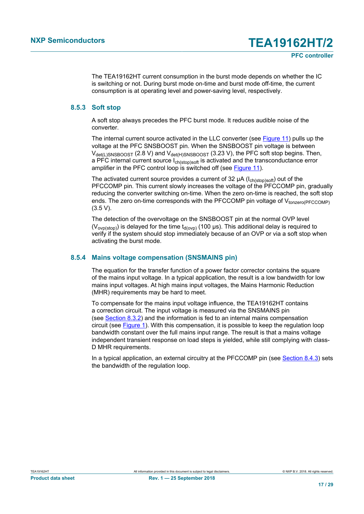The TEA19162HT current consumption in the burst mode depends on whether the IC is switching or not. During burst mode on-time and burst mode off-time, the current consumption is at operating level and power-saving level, respectively.

#### **8.5.3 Soft stop**

<span id="page-16-0"></span>A soft stop always precedes the PFC burst mode. It reduces audible noise of the converter.

The internal current source activated in the LLC converter (see [Figure 11](#page-15-0)) pulls up the voltage at the PFC SNSBOOST pin. When the SNSBOOST pin voltage is between  $V_{\text{det(L)SNSBOOST}}$  (2.8 V) and  $V_{\text{det(H)SNSBOOST}}$  (3.23 V), the PFC soft stop begins. Then, a PFC internal current source  $I_{ch(stop)soft}$  is activated and the transconductance error amplifier in the PFC control loop is switched off (see [Figure 11\)](#page-15-0).

The activated current source provides a current of 32  $\mu$ A ( $I_{\text{ch}(stop)soft}$ ) out of the PFCCOMP pin. This current slowly increases the voltage of the PFCCOMP pin, gradually reducing the converter switching on-time. When the zero on-time is reached, the soft stop ends. The zero on-time corresponds with the PFCCOMP pin voltage of  $V_{\text{nonzero/PECCOMP}}$ (3.5 V).

The detection of the overvoltage on the SNSBOOST pin at the normal OVP level (V<sub>ovp(stop)</sub>) is delayed for the time t<sub>d(ovp)</sub> (100 µs). This additional delay is required to verify if the system should stop immediately because of an OVP or via a soft stop when activating the burst mode.

#### **8.5.4 Mains voltage compensation (SNSMAINS pin)**

<span id="page-16-1"></span>The equation for the transfer function of a power factor corrector contains the square of the mains input voltage. In a typical application, the result is a low bandwidth for low mains input voltages. At high mains input voltages, the Mains Harmonic Reduction (MHR) requirements may be hard to meet.

To compensate for the mains input voltage influence, the TEA19162HT contains a correction circuit. The input voltage is measured via the SNSMAINS pin (see [Section 8.3.2\)](#page-7-0) and the information is fed to an internal mains compensation circuit (see [Figure 1\)](#page-2-0). With this compensation, it is possible to keep the regulation loop bandwidth constant over the full mains input range. The result is that a mains voltage independent transient response on load steps is yielded, while still complying with class-D MHR requirements.

In a typical application, an external circuitry at the PFCCOMP pin (see [Section 8.4.3](#page-10-2)) sets the bandwidth of the regulation loop.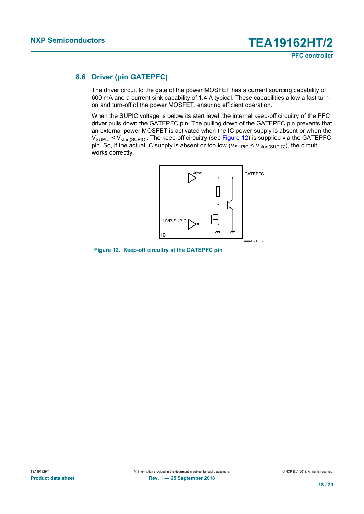### **8.6 Driver (pin GATEPFC)**

<span id="page-17-1"></span>The driver circuit to the gate of the power MOSFET has a current sourcing capability of 600 mA and a current sink capability of 1.4 A typical. These capabilities allow a fast turnon and turn-off of the power MOSFET, ensuring efficient operation.

When the SUPIC voltage is below its start level, the internal keep-off circuitry of the PFC driver pulls down the GATEPFC pin. The pulling down of the GATEPFC pin prevents that an external power MOSFET is activated when the IC power supply is absent or when the V<sub>SUPIC</sub> < V<sub>start(SUPIC)</sub>. The keep-off circuitry (see <u>[Figure 12](#page-17-0)</u>) is supplied via the GATEPFC pin. So, if the actual IC supply is absent or too low (V<sub>SUPIC</sub> < V<sub>start(SUPIC)</sub>), the circuit works correctly.

<span id="page-17-0"></span>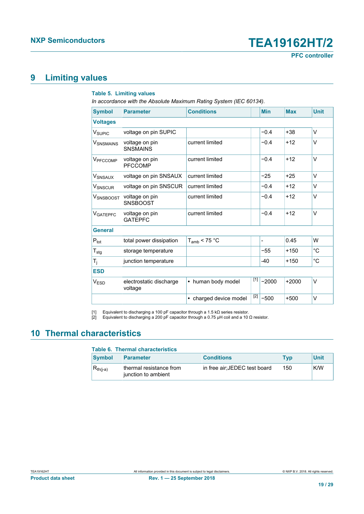# <span id="page-18-2"></span>**9 Limiting values**

#### <span id="page-18-1"></span><span id="page-18-0"></span>**Table 5. Limiting values**

*In accordance with the Absolute Maximum Rating System (IEC 60134).*

| <b>Symbol</b>            | <b>Parameter</b>                   | <b>Conditions</b>      |       | <b>Min</b> | <b>Max</b> | <b>Unit</b> |
|--------------------------|------------------------------------|------------------------|-------|------------|------------|-------------|
| <b>Voltages</b>          |                                    |                        |       |            |            |             |
| <b>V<sub>SUPIC</sub></b> | voltage on pin SUPIC               |                        |       | $-0.4$     | $+38$      | V           |
| <b>V</b> SNSMAINS        | voltage on pin<br><b>SNSMAINS</b>  | current limited        |       | $-0.4$     | $+12$      | $\vee$      |
| V <sub>PFCCOMP</sub>     | voltage on pin<br><b>PFCCOMP</b>   | current limited        |       | $-0.4$     | $+12$      | $\vee$      |
| <b>V</b> SNSAUX          | voltage on pin SNSAUX              | current limited        |       | $-25$      | $+25$      | V           |
| <b>V</b> SNSCUR          | voltage on pin SNSCUR              | current limited        |       | $-0.4$     | $+12$      | V           |
| <b>V</b> SNSBOOST        | voltage on pin<br><b>SNSBOOST</b>  | current limited        |       | $-0.4$     | $+12$      | $\vee$      |
| <b>VGATEPFC</b>          | voltage on pin<br><b>GATEPFC</b>   | current limited        |       | $-0.4$     | $+12$      | V           |
| <b>General</b>           |                                    |                        |       |            |            |             |
| $P_{\text{tot}}$         | total power dissipation            | $T_{amb}$ < 75 °C      |       |            | 0.45       | W           |
| $T_{\text{stg}}$         | storage temperature                |                        |       | $-55$      | $+150$     | $^{\circ}C$ |
| T <sub>j</sub>           | junction temperature               |                        |       | -40        | $+150$     | $^{\circ}C$ |
| <b>ESD</b>               |                                    |                        |       |            |            |             |
| V <sub>ESD</sub>         | electrostatic discharge<br>voltage | • human body model     | $[1]$ | $-2000$    | $+2000$    | $\vee$      |
|                          |                                    | • charged device model | $[2]$ | $-500$     | $+500$     | $\vee$      |

[1] Equivalent to discharging a 100 pF capacitor through a 1.5 kΩ series resistor.

[2] Equivalent to discharging a 200 pF capacitor through a 0.75 μH coil and a 10 Ω resistor.

# <span id="page-18-3"></span>**10 Thermal characteristics**

#### **Table 6. Thermal characteristics**

| <b>Symbol</b> | <b>Parameter</b>                               | <b>Conditions</b>             | <b>Typ</b> | Unit |
|---------------|------------------------------------------------|-------------------------------|------------|------|
| $R_{th(i-a)}$ | thermal resistance from<br>iunction to ambient | in free air: JEDEC test board | 150        | K/W  |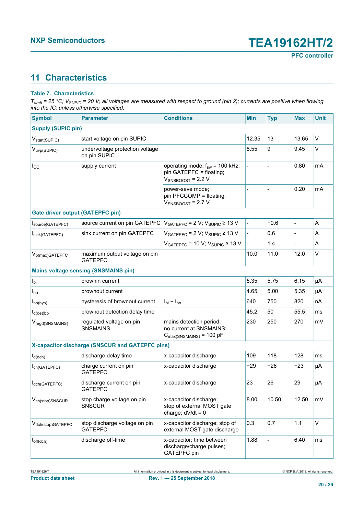# <span id="page-19-0"></span>**11 Characteristics**

#### **Table 7. Characteristics**

*Tamb = 25 °C; VSUPIC = 20 V; all voltages are measured with respect to ground (pin 2); currents are positive when flowing into the IC; unless otherwise specified.*

| <b>Symbol</b>                           | <b>Parameter</b>                                | <b>Conditions</b>                                                                         | <b>Min</b>     | <b>Typ</b> | <b>Max</b>               | <b>Unit</b> |
|-----------------------------------------|-------------------------------------------------|-------------------------------------------------------------------------------------------|----------------|------------|--------------------------|-------------|
| <b>Supply (SUPIC pin)</b>               |                                                 |                                                                                           |                |            |                          |             |
| V <sub>start</sub> (SUPIC)              | start voltage on pin SUPIC                      |                                                                                           | 12.35          | 13         | 13.65                    | $\vee$      |
| V <sub>uvp(SUPIC)</sub>                 | undervoltage protection voltage<br>on pin SUPIC |                                                                                           | 8.55           | 9          | 9.45                     | V           |
| $I_{\rm CC}$                            | supply current                                  | operating mode; $f_{sw}$ = 100 kHz;<br>pin GATEPFC = floating;<br>$V_{SNSBOOST}$ = 2.2 V  |                |            | 0.80                     | mA          |
|                                         |                                                 | power-save mode;<br>pin PFCCOMP = floating;<br>$V_{SNSBOOST}$ = 2.7 V                     |                |            | 0.20                     | mA          |
| <b>Gate driver output (GATEPFC pin)</b> |                                                 |                                                                                           |                |            |                          |             |
| Isource(GATEPFC)                        | source current on pin GATEPFC                   | $V_{GATEPFC}$ = 2 V; $V_{SUPIC}$ ≥ 13 V                                                   | $\overline{a}$ | $-0.6$     |                          | A           |
| Isink(GATEPFC)                          | sink current on pin GATEPFC                     | $V_{GATEPFC}$ = 2 V; $V_{SUPIC}$ ≥ 13 V                                                   | $\frac{1}{2}$  | 0.6        | $\overline{\phantom{a}}$ | A           |
|                                         |                                                 | $V_{GATEPFC}$ = 10 V; $V_{SUPIC}$ ≥ 13 V                                                  |                | 1.4        |                          | A           |
| $V_{o(max)GATEPFC}$                     | maximum output voltage on pin<br><b>GATEPFC</b> |                                                                                           | 10.0           | 11.0       | 12.0                     | $\vee$      |
|                                         | <b>Mains voltage sensing (SNSMAINS pin)</b>     |                                                                                           |                |            |                          |             |
| $I_{\text{bi}}$                         | brownin current                                 |                                                                                           | 5.35           | 5.75       | 6.15                     | μA          |
| $I_{\text{bo}}$                         | brownout current                                |                                                                                           | 4.65           | 5.00       | 5.35                     | μA          |
| $I_{\text{bo(hys)}}$                    | hysteresis of brownout current                  | $I_{\text{bi}} - I_{\text{bo}}$                                                           | 640            | 750        | 820                      | nA          |
| $t_{d(det)bo}$                          | brownout detection delay time                   |                                                                                           | 45.2           | 50         | 55.5                     | ms          |
| V <sub>regd</sub> (SNSMAINS)            | regulated voltage on pin<br><b>SNSMAINS</b>     | mains detection period;<br>no current at SNSMAINS;<br>$C_{\text{max(SNSMAINS)}} = 100$ pF | 230            | 250        | 270                      | mV          |
|                                         | X-capacitor discharge (SNSCUR and GATEPFC pins) |                                                                                           |                |            |                          |             |
| $t_{d(dch)}$                            | discharge delay time                            | x-capacitor discharge                                                                     | 109            | 118        | 128                      | ms          |
| $I_{ch(GATEPFC)}$                       | charge current on pin<br><b>GATEPFC</b>         | x-capacitor discharge                                                                     | $-29$          | $-26$      | $-23$                    | μA          |
| Idch(GATEPFC)                           | discharge current on pin<br><b>GATEPFC</b>      | x-capacitor discharge                                                                     | 23             | 26         | 29                       | $\mu A$     |
| V <sub>ch(stop)</sub> SNSCUR            | stop charge voltage on pin<br><b>SNSCUR</b>     | x-capacitor discharge;<br>stop of external MOST gate<br>charge; $dV/dt = 0$               | 8.00           | 10.50      | 12.50                    | mV          |
| V <sub>dch(stop)</sub> GATEPFC          | stop discharge voltage on pin<br><b>GATEPFC</b> | x-capacitor discharge; stop of<br>external MOST gate discharge                            | 0.3            | 0.7        | 1.1                      | $\vee$      |
| $t_{off(dch)}$                          | discharge off-time                              | x-capacitor; time between<br>discharge/charge pulses;<br><b>GATEPFC</b> pin               | 1.88           |            | 6.40                     | ms          |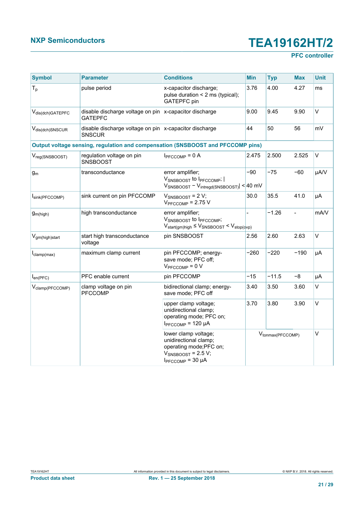## **PFC controller**

| <b>Symbol</b>                 | <b>Parameter</b>                                                           | <b>Conditions</b>                                                                                                                     | <b>Min</b> | <b>Typ</b>                    | <b>Max</b>     | <b>Unit</b> |
|-------------------------------|----------------------------------------------------------------------------|---------------------------------------------------------------------------------------------------------------------------------------|------------|-------------------------------|----------------|-------------|
| $T_p$                         | pulse period                                                               | 3.76<br>x-capacitor discharge;<br>pulse duration $\leq$ 2 ms (typical);<br>GATEPFC pin                                                |            | 4.00                          | 4.27           | ms          |
| V <sub>dis(dch)</sub> GATEPFC | disable discharge voltage on pin<br><b>GATEPFC</b>                         | x-capacitor discharge                                                                                                                 | 9.00       | 9.45                          | 9.90           | $\vee$      |
| V <sub>dis(dch)</sub> SNSCUR  | disable discharge voltage on pin $x$ -capacitor discharge<br><b>SNSCUR</b> |                                                                                                                                       | 44         | 50                            | 56             | mV          |
|                               |                                                                            | Output voltage sensing, regulation and compensation (SNSBOOST and PFCCOMP pins)                                                       |            |                               |                |             |
| $V_{reg(SNSBOOST)}$           | regulation voltage on pin<br><b>SNSBOOST</b>                               | $I_{\text{PFCCOMP}} = 0$ A                                                                                                            | 2.475      | 2.500                         | 2.525          | V           |
| $g_m$                         | transconductance                                                           | error amplifier;<br>VSNSBOOST to IPFCCOMP;  <br>$V_{\text{SNSBOOST}} - V_{\text{intregd(SNSBOOST)}} \leq 40 \text{ mV}$               | $-90$      | $-75$                         | $-60$          | µA/V        |
| Isink(PFCCOMP)                | sink current on pin PFCCOMP                                                | $V_{SNSBOOST}$ = 2 V;<br>$V_{\text{PFCCOMP}}$ = 2.75 V                                                                                | 30.0       | 35.5                          | 41.0           | μA          |
| g <sub>m(high)</sub>          | high transconductance                                                      | error amplifier;<br>VSNSBOOST to IPFCCOMP;<br>$V_{start(gm)high} \leq V_{SNSBOOST} < V_{stop(qvp)}$                                   |            | $-1.26$                       | $\overline{a}$ | mA/V        |
| V <sub>gm(high)start</sub>    | start high transconductance<br>voltage                                     | pin SNSBOOST                                                                                                                          | 2.56       | 2.60                          | 2.63           | $\vee$      |
| $I_{clamp(max)}$              | maximum clamp current                                                      | pin PFCCOMP; energy-<br>save mode; PFC off;<br>$V_{\text{PFCCOMP}} = 0 V$                                                             | $-260$     | $-220$                        | $-190$         | μA          |
| $I_{en(PFC)}$                 | PFC enable current                                                         | pin PFCCOMP                                                                                                                           | $-15$      | $-11.5$                       | $-8$           | μA          |
| V <sub>clamp</sub> (PFCCOMP)  | clamp voltage on pin<br><b>PFCCOMP</b>                                     | bidirectional clamp; energy-<br>save mode; PFC off                                                                                    | 3.40       | 3.50                          | 3.60           | V           |
|                               |                                                                            | upper clamp voltage;<br>unidirectional clamp;<br>operating mode; PFC on;<br>$I_{\text{PFCCOMP}}$ = 120 µA                             | 3.70       | 3.80                          | 3.90           | $\vee$      |
|                               |                                                                            | lower clamp voltage;<br>unidirectional clamp;<br>operating mode;PFC on;<br>$V_{SNSBOOST}$ = 2.5 V;<br>$I_{\text{PFCCOMP}} = 30 \mu A$ |            | V <sub>tonmax</sub> (PFCCOMP) |                | $\vee$      |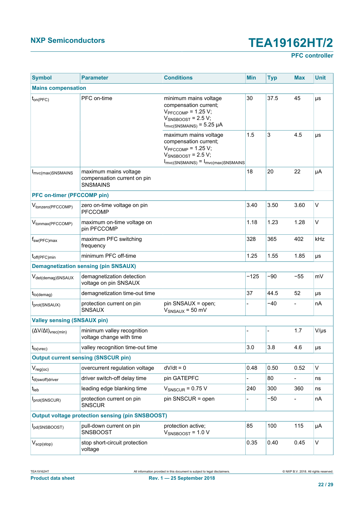## **PFC controller**

| <b>Symbol</b>                            | <b>Parameter</b>                                                        | <b>Conditions</b>                                                                                                                                                       | <b>Min</b> | <b>Typ</b> | <b>Max</b>               | <b>Unit</b>  |
|------------------------------------------|-------------------------------------------------------------------------|-------------------------------------------------------------------------------------------------------------------------------------------------------------------------|------------|------------|--------------------------|--------------|
| <b>Mains compensation</b>                |                                                                         |                                                                                                                                                                         |            |            |                          |              |
| $t_{on(PFC)}$                            | PFC on-time                                                             | minimum mains voltage<br>compensation current;<br>$V_{\text{PFCCOMP}}$ = 1.25 V;<br>$V_{SNSBOOST}$ = 2.5 V;<br>$I_{\text{mvc(SNSMAINS)}}$ = 5.25 µA                     | 30         | 37.5       | 45                       | μs           |
|                                          |                                                                         | maximum mains voltage<br>compensation current;<br>$V_{\text{PFCCOMP}}$ = 1.25 V;<br>$V_{SNSBOOST}$ = 2.5 V;<br>$I_{\text{mvc(SNSMAINS)}} = I_{\text{mvc(max)SNSMAINS}}$ | 1.5        | 3          | 4.5                      | μs           |
| I <sub>mvc(max)</sub> SNSMAINS           | maximum mains voltage<br>compensation current on pin<br><b>SNSMAINS</b> |                                                                                                                                                                         | 18         | 20         | 22                       | μA           |
| <b>PFC on-timer (PFCCOMP pin)</b>        |                                                                         |                                                                                                                                                                         |            |            |                          |              |
| V <sub>tonzero</sub> (PFCCOMP)           | zero on-time voltage on pin<br><b>PFCCOMP</b>                           |                                                                                                                                                                         | 3.40       | 3.50       | 3.60                     | $\vee$       |
| V <sub>tonmax</sub> (PFCCOMP)            | maximum on-time voltage on<br>pin PFCCOMP                               |                                                                                                                                                                         | 1.18       | 1.23       | 1.28                     | $\mathsf{V}$ |
| $f_{sw(PFC)max}$                         | maximum PFC switching<br>frequency                                      |                                                                                                                                                                         | 328        | 365        | 402                      | kHz          |
| $t_{off(PFC)}$ min                       | minimum PFC off-time                                                    |                                                                                                                                                                         | 1.25       | 1.55       | 1.85                     | μs           |
|                                          | <b>Demagnetization sensing (pin SNSAUX)</b>                             |                                                                                                                                                                         |            |            |                          |              |
| V <sub>det(demag)</sub> SNSAUX           | demagnetization detection<br>voltage on pin SNSAUX                      |                                                                                                                                                                         | $-125$     | $-90$      | $-55$                    | mV           |
| $t_{to(demag)}$                          | demagnetization time-out time                                           |                                                                                                                                                                         | 37         | 44.5       | 52                       | μs           |
| Iprot(SNSAUX)                            | protection current on pin<br>SNSAUX                                     | pin SNSAUX = open;<br>$V_{SNSAUX}$ = 50 mV                                                                                                                              |            | $-40$      |                          | nA           |
| <b>Valley sensing (SNSAUX pin)</b>       |                                                                         |                                                                                                                                                                         |            |            |                          |              |
| $(\Delta V/\Delta t)_{\text{vrec}(min)}$ | minimum valley recognition<br>voltage change with time                  |                                                                                                                                                                         |            |            | 1.7                      | $V/\mu s$    |
| $t_{to(vrec)}$                           | valley recognition time-out time                                        |                                                                                                                                                                         | 3.0        | 3.8        | 4.6                      | μs           |
|                                          | <b>Output current sensing (SNSCUR pin)</b>                              |                                                                                                                                                                         |            |            |                          |              |
| $V_{reg(oc)}$                            | overcurrent regulation voltage                                          | $dV/dt = 0$                                                                                                                                                             | 0.48       | 0.50       | 0.52                     | $\vee$       |
| t <sub>d(swoff)driver</sub>              | driver switch-off delay time                                            | pin GATEPFC                                                                                                                                                             |            | 80         | $\overline{\phantom{0}}$ | ns           |
| $t_{\rm leb}$                            | leading edge blanking time                                              | $V_{SNSCUR}$ = 0.75 V                                                                                                                                                   | 240        | 300        | 360                      | ns           |
| Iprot(SNSCUR)                            | protection current on pin<br><b>SNSCUR</b>                              | pin SNSCUR = open                                                                                                                                                       |            | $-50$      |                          | nA           |
|                                          | <b>Output voltage protection sensing (pin SNSBOOST)</b>                 |                                                                                                                                                                         |            |            |                          |              |
| Ipd(SNSBOOST)                            | pull-down current on pin<br><b>SNSBOOST</b>                             | protection active;<br>$V_{SNSBOOST}$ = 1.0 V                                                                                                                            | 85         | 100        | 115                      | μA           |
| $V_{\text{scp}(\text{stop})}$            | stop short-circuit protection<br>voltage                                |                                                                                                                                                                         | 0.35       | 0.40       | 0.45                     | $\mathsf{V}$ |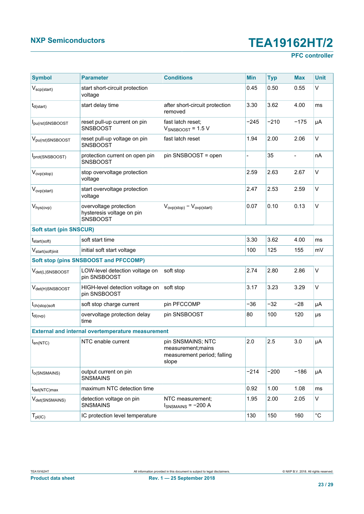## **PFC controller**

| <b>Symbol</b>                  | <b>Parameter</b>                                                       | <b>Conditions</b>                                                               | Min    | <b>Typ</b> | <b>Max</b> | <b>Unit</b>  |
|--------------------------------|------------------------------------------------------------------------|---------------------------------------------------------------------------------|--------|------------|------------|--------------|
| $V_{\text{scp}(\text{start})}$ | start short-circuit protection<br>voltage                              |                                                                                 | 0.45   | 0.50       | 0.55       | V            |
| $t_{d(stat)}$                  | start delay time                                                       | after short-circuit protection<br>removed                                       | 3.30   | 3.62       | 4.00       | ms           |
| Ipu(rst)SNSBOOST               | reset pull-up current on pin<br><b>SNSBOOST</b>                        | fast latch reset;<br>$V_{SNSBOOST}$ = 1.5 V                                     | $-245$ | $-210$     | $-175$     | μA           |
| $V_{\text{pu(rst)SNSBOOST}}$   | reset pull-up voltage on pin<br><b>SNSBOOST</b>                        | fast latch reset                                                                | 1.94   | 2.00       | 2.06       | V            |
| Iprot(SNSBOOST)                | protection current on open pin<br><b>SNSBOOST</b>                      | pin SNSBOOST = open                                                             |        | 35         |            | nA           |
| $V_{ovp(\text{stop})}$         | stop overvoltage protection<br>voltage                                 |                                                                                 | 2.59   | 2.63       | 2.67       | $\vee$       |
| V <sub>ovp(start)</sub>        | start overvoltage protection<br>voltage                                |                                                                                 | 2.47   | 2.53       | 2.59       | V            |
| $V_{\text{hys}(\text{ovp})}$   | overvoltage protection<br>hysteresis voltage on pin<br><b>SNSBOOST</b> | $V_{ovp(\text{stop})} - V_{ovp(\text{start})}$                                  | 0.07   | 0.10       | 0.13       | $\vee$       |
| <b>Soft start (pin SNSCUR)</b> |                                                                        |                                                                                 |        |            |            |              |
| $t_{start(soft)}$              | soft start time                                                        |                                                                                 | 3.30   | 3.62       | 4.00       | ms           |
| V <sub>start(soft)init</sub>   | initial soft start voltage                                             |                                                                                 | 100    | 125        | 155        | mV           |
|                                | Soft stop (pins SNSBOOST and PFCCOMP)                                  |                                                                                 |        |            |            |              |
| V <sub>det(L)</sub> SNSBOOST   | LOW-level detection voltage on<br>pin SNSBOOST                         | soft stop                                                                       | 2.74   | 2.80       | 2.86       | $\vee$       |
| V <sub>det(H)</sub> SNSBOOST   | HIGH-level detection voltage on<br>pin SNSBOOST                        | soft stop                                                                       | 3.17   | 3.23       | 3.29       | $\vee$       |
| ch(stop)soft                   | soft stop charge current                                               | pin PFCCOMP                                                                     | $-36$  | $-32$      | -28        | μA           |
| $t_{d(ovp)}$                   | overvoltage protection delay<br>time                                   | pin SNSBOOST                                                                    | 80     | 100        | 120        | μs           |
|                                | <b>External and internal overtemperature measurement</b>               |                                                                                 |        |            |            |              |
| $I_{en(NTC)}$                  | NTC enable current                                                     | pin SNSMAINS; NTC<br>measurement; mains<br>measurement period; falling<br>slope | 2.0    | 2.5        | 3.0        | μA           |
| l <sub>o</sub> (SNSMAINS)      | output current on pin<br><b>SNSMAINS</b>                               |                                                                                 | $-214$ | $-200$     | $-186$     | μA           |
| t <sub>det(NTC)max</sub>       | maximum NTC detection time                                             |                                                                                 | 0.92   | 1.00       | 1.08       | ms           |
| V <sub>det(SNSMAINS)</sub>     | detection voltage on pin<br><b>SNSMAINS</b>                            | NTC measurement;<br>$I_{SNSMAINS}$ = -200 A                                     | 1.95   | 2.00       | 2.05       | V            |
| $T_{\mathsf{pl}(\mathsf{IC})}$ | IC protection level temperature                                        |                                                                                 | 130    | 150        | 160        | $^{\circ}$ C |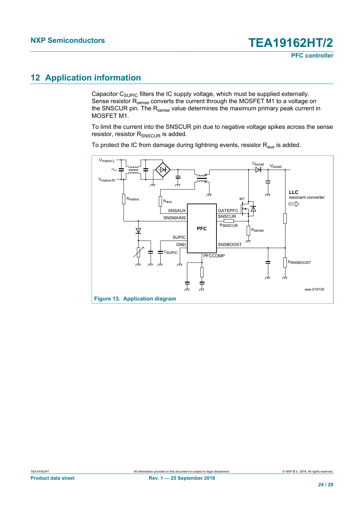# <span id="page-23-1"></span>**12 Application information**

Capacitor  $C_{\text{SUPIC}}$  filters the IC supply voltage, which must be supplied externally. Sense resistor R<sub>sense</sub> converts the current through the MOSFET M1 to a voltage on the SNSCUR pin. The  $R_{\text{sense}}$  value determines the maximum primary peak current in MOSFET M1.

To limit the current into the SNSCUR pin due to negative voltage spikes across the sense resistor, resistor R<sub>SNSCUR</sub> is added.

To protect the IC from damage during lightning events, resistor  $R<sub>aux</sub>$  is added.

<span id="page-23-0"></span>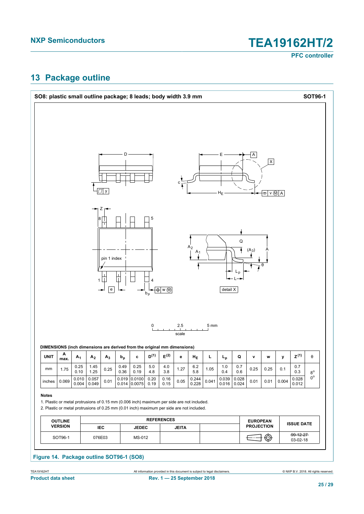**PFC controller**

# <span id="page-24-0"></span>**13 Package outline**

|                       |                                  |                        |                |                                                           |              | SO8: plastic small outline package; 8 leads; body width 3.9 mm                                                                                                                          |              |                                                 |              |                                  |                 |                |                      |                                      |                         |                 |                    | <b>SOT96-1</b>             |
|-----------------------|----------------------------------|------------------------|----------------|-----------------------------------------------------------|--------------|-----------------------------------------------------------------------------------------------------------------------------------------------------------------------------------------|--------------|-------------------------------------------------|--------------|----------------------------------|-----------------|----------------|----------------------|--------------------------------------|-------------------------|-----------------|--------------------|----------------------------|
|                       |                                  |                        |                | y                                                         |              |                                                                                                                                                                                         |              |                                                 | c            |                                  |                 | $H_E$          |                      | Α                                    | $\pmb{\mathsf{X}}$<br>÷ | $V \circledN A$ |                    |                            |
|                       |                                  |                        | 1              | Z<br>pin 1 index<br>$\overline{\phantom{a}}$<br>${\bf e}$ |              |                                                                                                                                                                                         | 5<br>$b_p$   | $\overline{\bigoplus}$ w $\overline{\bigoplus}$ |              | A <sub>2</sub><br>A <sub>1</sub> |                 | detail X       | ${\sf Q}$<br>$L_{p}$ | $(A_3)$                              |                         |                 |                    |                            |
|                       |                                  |                        |                |                                                           |              |                                                                                                                                                                                         | 0            |                                                 | 2.5          |                                  | 5 <sub>mm</sub> |                |                      |                                      |                         |                 |                    |                            |
|                       |                                  |                        |                |                                                           |              |                                                                                                                                                                                         |              |                                                 | scale        |                                  |                 |                |                      |                                      |                         |                 |                    |                            |
|                       | A<br>max.                        | A <sub>1</sub>         | A <sub>2</sub> | $A_3$                                                     | $b_p$        | DIMENSIONS (inch dimensions are derived from the original mm dimensions)<br>c                                                                                                           | $D^{(1)}$    | $\mathsf{E}^{(2)}$                              | е            | $H_{E}$                          | L               | L <sub>p</sub> | Q                    | ۷                                    | W                       | у               | $\mathsf{Z}^{(1)}$ | θ                          |
| mm                    | 1.75                             | 0.25                   | 1.45<br>1.25   | 0.25                                                      | 0.49<br>0.36 | 0.25<br>0.19                                                                                                                                                                            | 5.0<br>4.8   | $4.0$<br>3.8                                    | 1.27         | 6.2<br>5.8                       | 1.05            | $1.0$<br>0.4   | 0.7<br>0.6           | 0.25                                 | 0.25                    | 0.1             | 0.7<br>0.3         |                            |
| <b>UNIT</b><br>inches | 0.069                            | 0.10<br>0.010<br>0.004 | 0.057<br>0.049 | 0.01                                                      | 0.019        | 0.0100<br>$0.014$ 0.0075                                                                                                                                                                | 0.20<br>0.19 | 0.16<br>0.15                                    | 0.05         | 0.244<br>0.228                   | 0.041           | 0.039<br>0.016 | 0.028<br>0.024       | 0.01                                 | 0.01                    | 0.004           | 0.028<br>0.012     | $8^{\rm o}$<br>$0^{\circ}$ |
| <b>Notes</b>          |                                  |                        |                |                                                           |              | 1. Plastic or metal protrusions of 0.15 mm (0.006 inch) maximum per side are not included.<br>2. Plastic or metal protrusions of 0.25 mm (0.01 inch) maximum per side are not included. |              |                                                 |              |                                  |                 |                |                      |                                      |                         |                 |                    |                            |
|                       | <b>OUTLINE</b><br><b>VERSION</b> |                        |                | IEC                                                       |              | <b>JEDEC</b>                                                                                                                                                                            |              | <b>REFERENCES</b>                               | <b>JEITA</b> |                                  |                 |                |                      | <b>EUROPEAN</b><br><b>PROJECTION</b> |                         |                 | <b>ISSUE DATE</b>  |                            |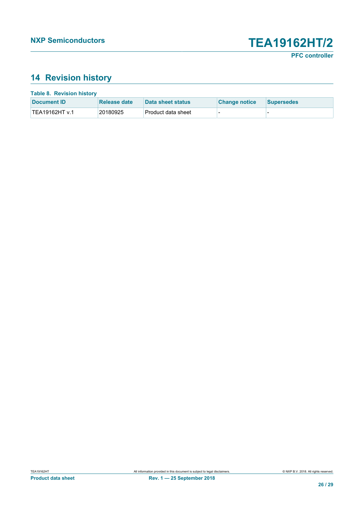# <span id="page-25-0"></span>**14 Revision history**

| <b>Table 8. Revision history</b> |              |                    |                      |                   |  |  |  |
|----------------------------------|--------------|--------------------|----------------------|-------------------|--|--|--|
| Document <b>ID</b>               | Release date | Data sheet status  | <b>Change notice</b> | <b>Supersedes</b> |  |  |  |
| TEA19162HT v.1                   | 20180925     | Product data sheet |                      |                   |  |  |  |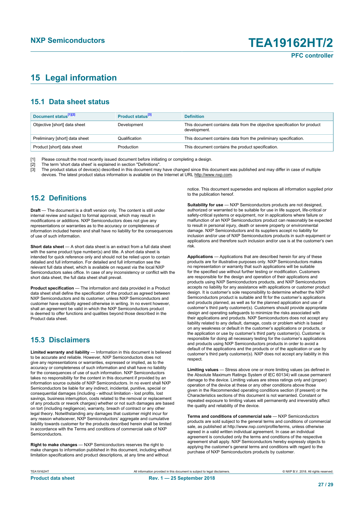# <span id="page-26-0"></span>**15 Legal information**

### **15.1 Data sheet status**

| Document status <sup>[1][2]</sup> | Product status <sup>[3]</sup> | <b>Definition</b>                                                                        |
|-----------------------------------|-------------------------------|------------------------------------------------------------------------------------------|
| Objective [short] data sheet      | Development                   | This document contains data from the objective specification for product<br>development. |
| Preliminary [short] data sheet    | Qualification                 | This document contains data from the preliminary specification.                          |
| Product [short] data sheet        | Production                    | This document contains the product specification.                                        |

[1] Please consult the most recently issued document before initiating or completing a design.<br>[2] The term 'short data sheet' is explained in section "Definitions".

[2] The term 'short data sheet' is explained in section "Definitions".<br>[3] The product status of device(s) described in this document may

The product status of device(s) described in this document may have changed since this document was published and may differ in case of multiple devices. The latest product status information is available on the Internet at URL http://www.nxp.com.

### **15.2 Definitions**

**Draft** — The document is a draft version only. The content is still under internal review and subject to formal approval, which may result in modifications or additions. NXP Semiconductors does not give any representations or warranties as to the accuracy or completeness of information included herein and shall have no liability for the consequences of use of such information.

**Short data sheet** — A short data sheet is an extract from a full data sheet with the same product type number(s) and title. A short data sheet is intended for quick reference only and should not be relied upon to contain detailed and full information. For detailed and full information see the relevant full data sheet, which is available on request via the local NXP Semiconductors sales office. In case of any inconsistency or conflict with the short data sheet, the full data sheet shall prevail.

**Product specification** — The information and data provided in a Product data sheet shall define the specification of the product as agreed between NXP Semiconductors and its customer, unless NXP Semiconductors and customer have explicitly agreed otherwise in writing. In no event however, shall an agreement be valid in which the NXP Semiconductors product is deemed to offer functions and qualities beyond those described in the Product data sheet.

### **15.3 Disclaimers**

**Limited warranty and liability** — Information in this document is believed to be accurate and reliable. However, NXP Semiconductors does not give any representations or warranties, expressed or implied, as to the accuracy or completeness of such information and shall have no liability for the consequences of use of such information. NXP Semiconductors takes no responsibility for the content in this document if provided by an information source outside of NXP Semiconductors. In no event shall NXP Semiconductors be liable for any indirect, incidental, punitive, special or consequential damages (including - without limitation - lost profits, lost savings, business interruption, costs related to the removal or replacement of any products or rework charges) whether or not such damages are based on tort (including negligence), warranty, breach of contract or any other legal theory. Notwithstanding any damages that customer might incur for any reason whatsoever, NXP Semiconductors' aggregate and cumulative liability towards customer for the products described herein shall be limited in accordance with the Terms and conditions of commercial sale of NXP **Semiconductors** 

**Right to make changes** — NXP Semiconductors reserves the right to make changes to information published in this document, including without limitation specifications and product descriptions, at any time and without

notice. This document supersedes and replaces all information supplied prior to the publication hereof.

**Suitability for use** — NXP Semiconductors products are not designed, authorized or warranted to be suitable for use in life support, life-critical or safety-critical systems or equipment, nor in applications where failure or malfunction of an NXP Semiconductors product can reasonably be expected to result in personal injury, death or severe property or environmental damage. NXP Semiconductors and its suppliers accept no liability for inclusion and/or use of NXP Semiconductors products in such equipment or applications and therefore such inclusion and/or use is at the customer's own risk.

**Applications** — Applications that are described herein for any of these products are for illustrative purposes only. NXP Semiconductors makes no representation or warranty that such applications will be suitable for the specified use without further testing or modification. Customers are responsible for the design and operation of their applications and products using NXP Semiconductors products, and NXP Semiconductors accepts no liability for any assistance with applications or customer product design. It is customer's sole responsibility to determine whether the NXP Semiconductors product is suitable and fit for the customer's applications and products planned, as well as for the planned application and use of customer's third party customer(s). Customers should provide appropriate design and operating safeguards to minimize the risks associated with their applications and products. NXP Semiconductors does not accept any liability related to any default, damage, costs or problem which is based on any weakness or default in the customer's applications or products, or the application or use by customer's third party customer(s). Customer is responsible for doing all necessary testing for the customer's applications and products using NXP Semiconductors products in order to avoid a default of the applications and the products or of the application or use by customer's third party customer(s). NXP does not accept any liability in this respect

**Limiting values** — Stress above one or more limiting values (as defined in the Absolute Maximum Ratings System of IEC 60134) will cause permanent damage to the device. Limiting values are stress ratings only and (proper) operation of the device at these or any other conditions above those given in the Recommended operating conditions section (if present) or the Characteristics sections of this document is not warranted. Constant or repeated exposure to limiting values will permanently and irreversibly affect the quality and reliability of the device.

**Terms and conditions of commercial sale** — NXP Semiconductors products are sold subject to the general terms and conditions of commercial sale, as published at http://www.nxp.com/profile/terms, unless otherwise agreed in a valid written individual agreement. In case an individual agreement is concluded only the terms and conditions of the respective agreement shall apply. NXP Semiconductors hereby expressly objects to applying the customer's general terms and conditions with regard to the purchase of NXP Semiconductors products by customer.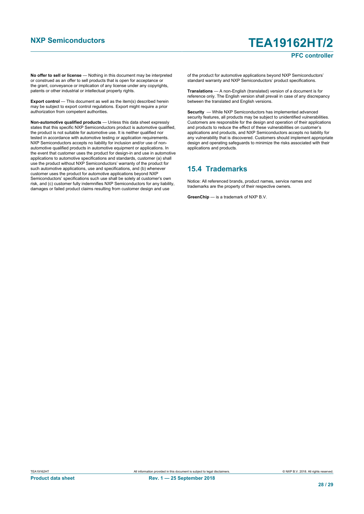#### **PFC controller**

**No offer to sell or license** — Nothing in this document may be interpreted or construed as an offer to sell products that is open for acceptance or the grant, conveyance or implication of any license under any copyrights, patents or other industrial or intellectual property rights.

**Export control** — This document as well as the item(s) described herein may be subject to export control regulations. Export might require a prior authorization from competent authorities.

**Non-automotive qualified products** — Unless this data sheet expressly states that this specific NXP Semiconductors product is automotive qualified, the product is not suitable for automotive use. It is neither qualified nor tested in accordance with automotive testing or application requirements. NXP Semiconductors accepts no liability for inclusion and/or use of nonautomotive qualified products in automotive equipment or applications. In the event that customer uses the product for design-in and use in automotive applications to automotive specifications and standards, customer (a) shall use the product without NXP Semiconductors' warranty of the product for such automotive applications, use and specifications, and (b) whenever customer uses the product for automotive applications beyond NXP Semiconductors' specifications such use shall be solely at customer's own risk, and (c) customer fully indemnifies NXP Semiconductors for any liability, damages or failed product claims resulting from customer design and use

of the product for automotive applications beyond NXP Semiconductors' standard warranty and NXP Semiconductors' product specifications.

**Translations** — A non-English (translated) version of a document is for reference only. The English version shall prevail in case of any discrepancy between the translated and English versions.

**Security** — While NXP Semiconductors has implemented advanced security features, all products may be subject to unidentified vulnerabilities. Customers are responsible for the design and operation of their applications and products to reduce the effect of these vulnerabilities on customer's applications and products, and NXP Semiconductors accepts no liability for any vulnerability that is discovered. Customers should implement appropriate design and operating safeguards to minimize the risks associated with their applications and products.

#### **15.4 Trademarks**

Notice: All referenced brands, product names, service names and trademarks are the property of their respective owners.

**GreenChip** — is a trademark of NXP B.V.